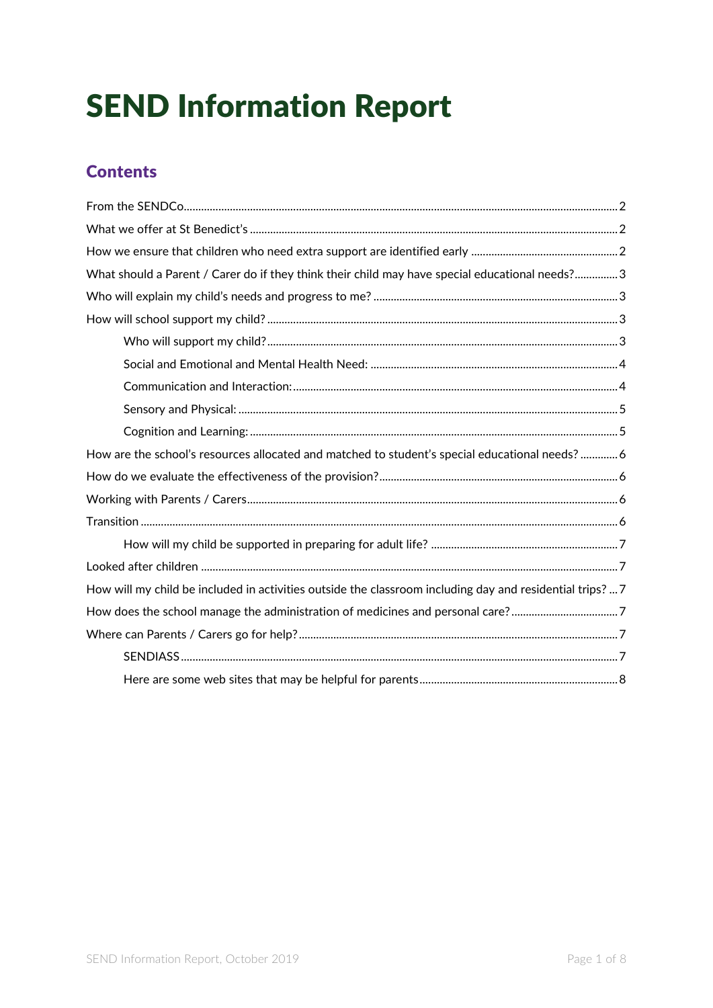# SEND Information Report

# **Contents**

| What should a Parent / Carer do if they think their child may have special educational needs? 3           |  |
|-----------------------------------------------------------------------------------------------------------|--|
|                                                                                                           |  |
|                                                                                                           |  |
|                                                                                                           |  |
|                                                                                                           |  |
|                                                                                                           |  |
|                                                                                                           |  |
|                                                                                                           |  |
| How are the school's resources allocated and matched to student's special educational needs?  6           |  |
|                                                                                                           |  |
|                                                                                                           |  |
|                                                                                                           |  |
|                                                                                                           |  |
|                                                                                                           |  |
| How will my child be included in activities outside the classroom including day and residential trips?  7 |  |
| How does the school manage the administration of medicines and personal care?7                            |  |
|                                                                                                           |  |
|                                                                                                           |  |
|                                                                                                           |  |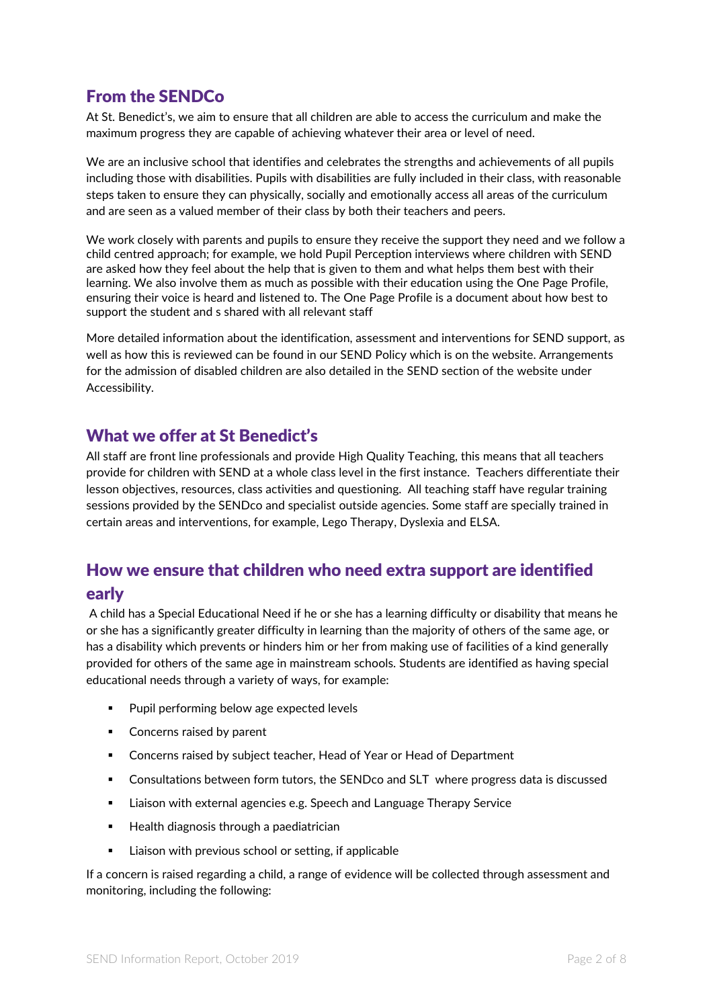# <span id="page-1-0"></span>From the SENDCo

At St. Benedict's, we aim to ensure that all children are able to access the curriculum and make the maximum progress they are capable of achieving whatever their area or level of need.

We are an inclusive school that identifies and celebrates the strengths and achievements of all pupils including those with disabilities. Pupils with disabilities are fully included in their class, with reasonable steps taken to ensure they can physically, socially and emotionally access all areas of the curriculum and are seen as a valued member of their class by both their teachers and peers.

We work closely with parents and pupils to ensure they receive the support they need and we follow a child centred approach; for example, we hold Pupil Perception interviews where children with SEND are asked how they feel about the help that is given to them and what helps them best with their learning. We also involve them as much as possible with their education using the One Page Profile, ensuring their voice is heard and listened to. The One Page Profile is a document about how best to support the student and s shared with all relevant staff

More detailed information about the identification, assessment and interventions for SEND support, as well as how this is reviewed can be found in our SEND Policy which is on the website. Arrangements for the admission of disabled children are also detailed in the SEND section of the website under Accessibility.

### <span id="page-1-1"></span>What we offer at St Benedict's

All staff are front line professionals and provide High Quality Teaching, this means that all teachers provide for children with SEND at a whole class level in the first instance. Teachers differentiate their lesson objectives, resources, class activities and questioning. All teaching staff have regular training sessions provided by the SENDco and specialist outside agencies. Some staff are specially trained in certain areas and interventions, for example, Lego Therapy, Dyslexia and ELSA.

## <span id="page-1-2"></span>How we ensure that children who need extra support are identified early

A child has a Special Educational Need if he or she has a learning difficulty or disability that means he or she has a significantly greater difficulty in learning than the majority of others of the same age, or has a disability which prevents or hinders him or her from making use of facilities of a kind generally provided for others of the same age in mainstream schools. Students are identified as having special educational needs through a variety of ways, for example:

- Pupil performing below age expected levels
- Concerns raised by parent
- Concerns raised by subject teacher, Head of Year or Head of Department
- **•** Consultations between form tutors, the SENDco and SLT where progress data is discussed
- Liaison with external agencies e.g. Speech and Language Therapy Service
- Health diagnosis through a paediatrician
- Liaison with previous school or setting, if applicable

If a concern is raised regarding a child, a range of evidence will be collected through assessment and monitoring, including the following: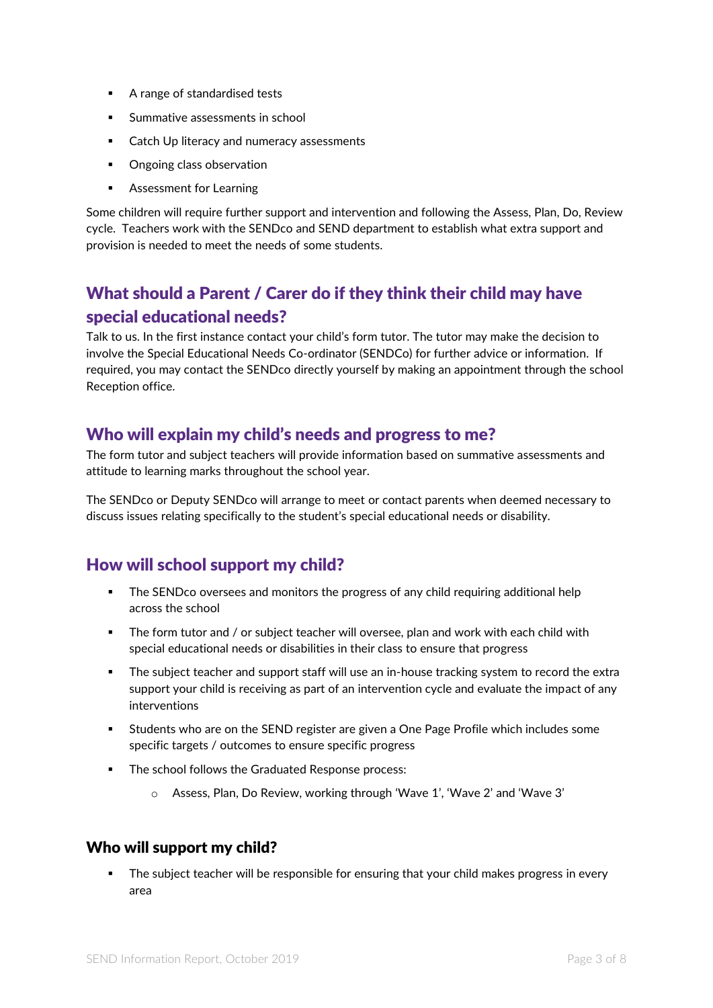- A range of standardised tests
- Summative assessments in school
- Catch Up literacy and numeracy assessments
- Ongoing class observation
- Assessment for Learning

Some children will require further support and intervention and following the Assess, Plan, Do, Review cycle. Teachers work with the SENDco and SEND department to establish what extra support and provision is needed to meet the needs of some students.

# <span id="page-2-0"></span>What should a Parent / Carer do if they think their child may have special educational needs?

Talk to us. In the first instance contact your child's form tutor. The tutor may make the decision to involve the Special Educational Needs Co-ordinator (SENDCo) for further advice or information. If required, you may contact the SENDco directly yourself by making an appointment through the school Reception office.

## <span id="page-2-1"></span>Who will explain my child's needs and progress to me?

The form tutor and subject teachers will provide information based on summative assessments and attitude to learning marks throughout the school year.

The SENDco or Deputy SENDco will arrange to meet or contact parents when deemed necessary to discuss issues relating specifically to the student's special educational needs or disability.

## <span id="page-2-2"></span>How will school support my child?

- The SENDco oversees and monitors the progress of any child requiring additional help across the school
- **•** The form tutor and / or subject teacher will oversee, plan and work with each child with special educational needs or disabilities in their class to ensure that progress
- **•** The subject teacher and support staff will use an in-house tracking system to record the extra support your child is receiving as part of an intervention cycle and evaluate the impact of any interventions
- Students who are on the SEND register are given a One Page Profile which includes some specific targets / outcomes to ensure specific progress
- The school follows the Graduated Response process:
	- o Assess, Plan, Do Review, working through 'Wave 1', 'Wave 2' and 'Wave 3'

#### <span id="page-2-3"></span>Who will support my child?

The subject teacher will be responsible for ensuring that your child makes progress in every area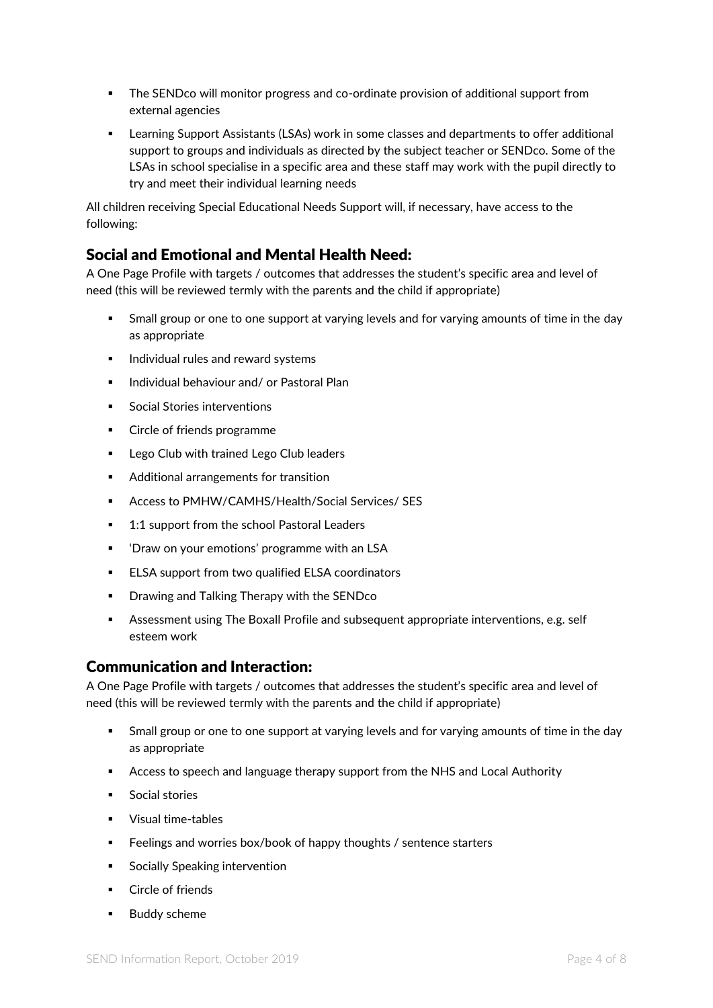- **•** The SENDco will monitor progress and co-ordinate provision of additional support from external agencies
- Learning Support Assistants (LSAs) work in some classes and departments to offer additional support to groups and individuals as directed by the subject teacher or SENDco. Some of the LSAs in school specialise in a specific area and these staff may work with the pupil directly to try and meet their individual learning needs

All children receiving Special Educational Needs Support will, if necessary, have access to the following:

#### <span id="page-3-0"></span>Social and Emotional and Mental Health Need:

A One Page Profile with targets / outcomes that addresses the student's specific area and level of need (this will be reviewed termly with the parents and the child if appropriate)

- Small group or one to one support at varying levels and for varying amounts of time in the day as appropriate
- Individual rules and reward systems
- Individual behaviour and/ or Pastoral Plan
- Social Stories interventions
- **Circle of friends programme**
- Lego Club with trained Lego Club leaders
- Additional arrangements for transition
- Access to PMHW/CAMHS/Health/Social Services/ SES
- 1:1 support from the school Pastoral Leaders
- 'Draw on your emotions' programme with an LSA
- ELSA support from two qualified ELSA coordinators
- Drawing and Talking Therapy with the SENDco
- **EXECTS Assessment using The Boxall Profile and subsequent appropriate interventions, e.g. self** esteem work

#### <span id="page-3-1"></span>Communication and Interaction:

A One Page Profile with targets / outcomes that addresses the student's specific area and level of need (this will be reviewed termly with the parents and the child if appropriate)

- **•** Small group or one to one support at varying levels and for varying amounts of time in the day as appropriate
- **EXECO** Access to speech and language therapy support from the NHS and Local Authority
- Social stories
- Visual time-tables
- Feelings and worries box/book of happy thoughts / sentence starters
- Socially Speaking intervention
- Circle of friends
- **Buddy scheme**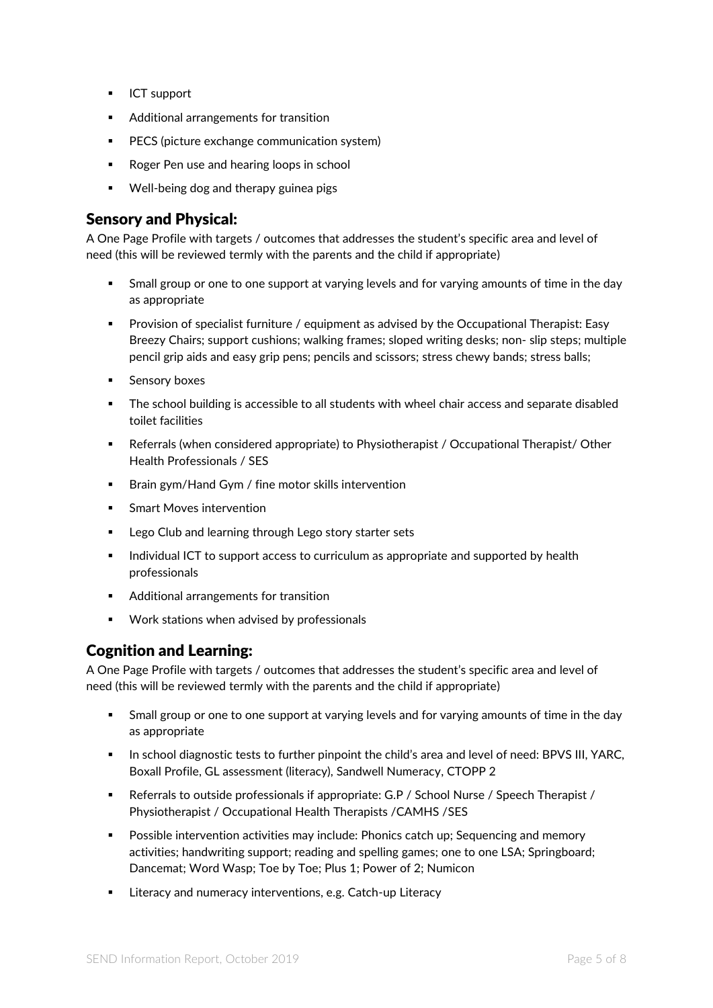- ICT support
- Additional arrangements for transition
- PECS (picture exchange communication system)
- Roger Pen use and hearing loops in school
- Well-being dog and therapy guinea pigs

#### <span id="page-4-0"></span>Sensory and Physical:

A One Page Profile with targets / outcomes that addresses the student's specific area and level of need (this will be reviewed termly with the parents and the child if appropriate)

- **EXT** Small group or one to one support at varying levels and for varying amounts of time in the day as appropriate
- Provision of specialist furniture / equipment as advised by the Occupational Therapist: Easy Breezy Chairs; support cushions; walking frames; sloped writing desks; non- slip steps; multiple pencil grip aids and easy grip pens; pencils and scissors; stress chewy bands; stress balls;
- **■** Sensory boxes
- The school building is accessible to all students with wheel chair access and separate disabled toilet facilities
- Referrals (when considered appropriate) to Physiotherapist / Occupational Therapist/ Other Health Professionals / SES
- Brain gym/Hand Gym / fine motor skills intervention
- **Smart Moves intervention**
- Lego Club and learning through Lego story starter sets
- **■** Individual ICT to support access to curriculum as appropriate and supported by health professionals
- Additional arrangements for transition
- Work stations when advised by professionals

#### <span id="page-4-1"></span>Cognition and Learning:

A One Page Profile with targets / outcomes that addresses the student's specific area and level of need (this will be reviewed termly with the parents and the child if appropriate)

- **•** Small group or one to one support at varying levels and for varying amounts of time in the day as appropriate
- **•** In school diagnostic tests to further pinpoint the child's area and level of need: BPVS III, YARC, Boxall Profile, GL assessment (literacy), Sandwell Numeracy, CTOPP 2
- Referrals to outside professionals if appropriate: G.P / School Nurse / Speech Therapist / Physiotherapist / Occupational Health Therapists /CAMHS /SES
- **•** Possible intervention activities may include: Phonics catch up; Sequencing and memory activities; handwriting support; reading and spelling games; one to one LSA; Springboard; Dancemat; Word Wasp; Toe by Toe; Plus 1; Power of 2; Numicon
- Literacy and numeracy interventions, e.g. Catch-up Literacy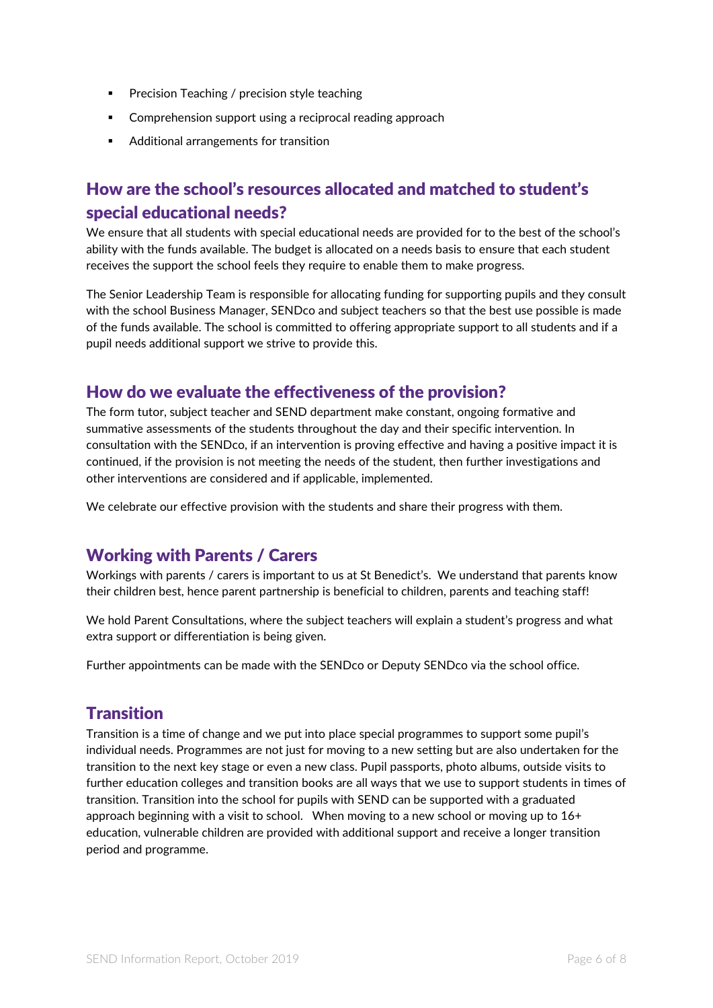- Precision Teaching / precision style teaching
- Comprehension support using a reciprocal reading approach
- Additional arrangements for transition

## <span id="page-5-0"></span>How are the school's resources allocated and matched to student's special educational needs?

We ensure that all students with special educational needs are provided for to the best of the school's ability with the funds available. The budget is allocated on a needs basis to ensure that each student receives the support the school feels they require to enable them to make progress.

The Senior Leadership Team is responsible for allocating funding for supporting pupils and they consult with the school Business Manager, SENDco and subject teachers so that the best use possible is made of the funds available. The school is committed to offering appropriate support to all students and if a pupil needs additional support we strive to provide this.

## <span id="page-5-1"></span>How do we evaluate the effectiveness of the provision?

The form tutor, subject teacher and SEND department make constant, ongoing formative and summative assessments of the students throughout the day and their specific intervention. In consultation with the SENDco, if an intervention is proving effective and having a positive impact it is continued, if the provision is not meeting the needs of the student, then further investigations and other interventions are considered and if applicable, implemented.

We celebrate our effective provision with the students and share their progress with them.

## <span id="page-5-2"></span>Working with Parents / Carers

Workings with parents / carers is important to us at St Benedict's. We understand that parents know their children best, hence parent partnership is beneficial to children, parents and teaching staff!

We hold Parent Consultations, where the subject teachers will explain a student's progress and what extra support or differentiation is being given.

Further appointments can be made with the SENDco or Deputy SENDco via the school office.

## <span id="page-5-3"></span>**Transition**

Transition is a time of change and we put into place special programmes to support some pupil's individual needs. Programmes are not just for moving to a new setting but are also undertaken for the transition to the next key stage or even a new class. Pupil passports, photo albums, outside visits to further education colleges and transition books are all ways that we use to support students in times of transition. Transition into the school for pupils with SEND can be supported with a graduated approach beginning with a visit to school. When moving to a new school or moving up to  $16+$ education, vulnerable children are provided with additional support and receive a longer transition period and programme.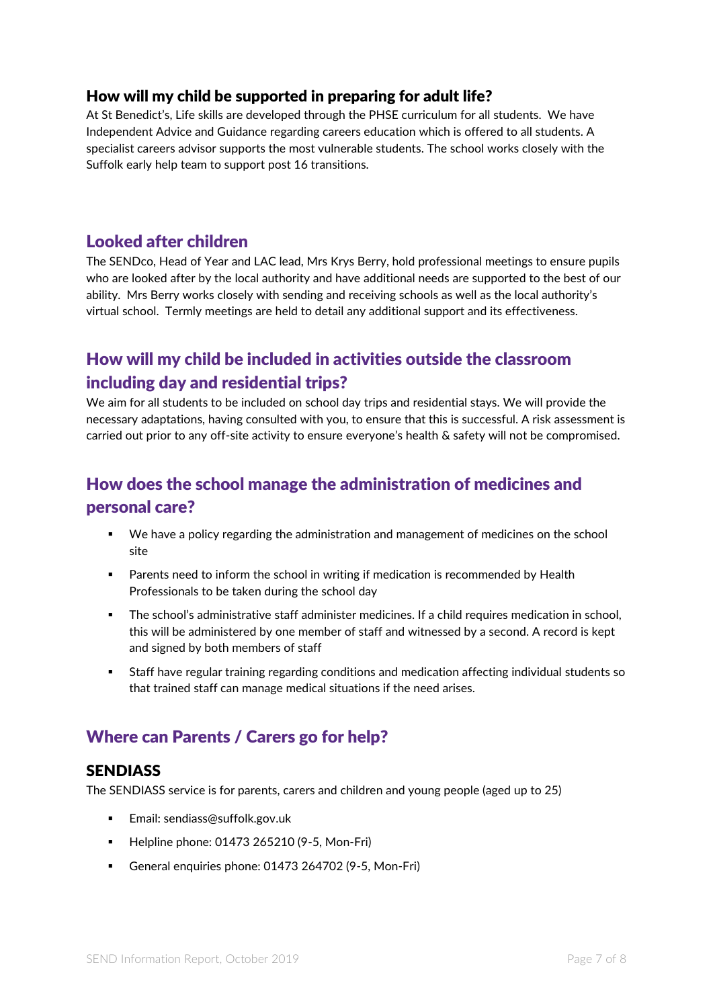#### <span id="page-6-0"></span>How will my child be supported in preparing for adult life?

At St Benedict's, Life skills are developed through the PHSE curriculum for all students. We have Independent Advice and Guidance regarding careers education which is offered to all students. A specialist careers advisor supports the most vulnerable students. The school works closely with the Suffolk early help team to support post 16 transitions.

## <span id="page-6-1"></span>Looked after children

The SENDco, Head of Year and LAC lead, Mrs Krys Berry, hold professional meetings to ensure pupils who are looked after by the local authority and have additional needs are supported to the best of our ability. Mrs Berry works closely with sending and receiving schools as well as the local authority's virtual school. Termly meetings are held to detail any additional support and its effectiveness.

# <span id="page-6-2"></span>How will my child be included in activities outside the classroom including day and residential trips?

We aim for all students to be included on school day trips and residential stays. We will provide the necessary adaptations, having consulted with you, to ensure that this is successful. A risk assessment is carried out prior to any off-site activity to ensure everyone's health & safety will not be compromised.

# <span id="page-6-3"></span>How does the school manage the administration of medicines and personal care?

- We have a policy regarding the administration and management of medicines on the school site
- Parents need to inform the school in writing if medication is recommended by Health Professionals to be taken during the school day
- The school's administrative staff administer medicines. If a child requires medication in school, this will be administered by one member of staff and witnessed by a second. A record is kept and signed by both members of staff
- Staff have regular training regarding conditions and medication affecting individual students so that trained staff can manage medical situations if the need arises.

## <span id="page-6-4"></span>Where can Parents / Carers go for help?

#### <span id="page-6-5"></span>**SENDIASS**

The SENDIASS service is for parents, carers and children and young people (aged up to 25)

- Email: sendiass@suffolk.gov.uk
- Helpline phone: 01473 265210 (9-5, Mon-Fri)
- General enquiries phone: 01473 264702 (9-5, Mon-Fri)